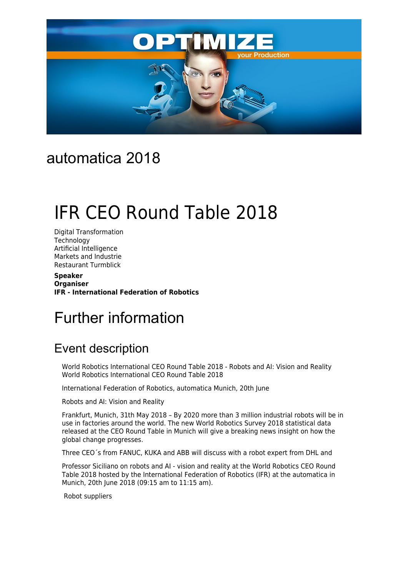

# automatica 2018

# IFR CEO Round Table 2018

Digital Transformation **Technology** Artificial Intelligence Markets and Industrie Restaurant Turmblick

**Speaker Organiser IFR - International Federation of Robotics**

# Further information

# Event description

World Robotics International CEO Round Table 2018 - Robots and AI: Vision and Reality World Robotics International CEO Round Table 2018

International Federation of Robotics, automatica Munich, 20th June

Robots and AI: Vision and Reality

Frankfurt, Munich, 31th May 2018 – By 2020 more than 3 million industrial robots will be in use in factories around the world. The new World Robotics Survey 2018 statistical data released at the CEO Round Table in Munich will give a breaking news insight on how the global change progresses.

Three CEO´s from FANUC, KUKA and ABB will discuss with a robot expert from DHL and

Professor Siciliano on robots and AI - vision and reality at the World Robotics CEO Round Table 2018 hosted by the International Federation of Robotics (IFR) at the automatica in Munich, 20th June 2018 (09:15 am to 11:15 am).

Robot suppliers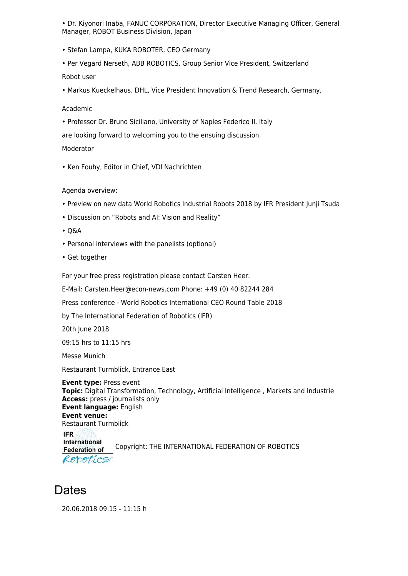• Dr. Kiyonori Inaba, FANUC CORPORATION, Director Executive Managing Officer, General Manager, ROBOT Business Division, Japan

• Stefan Lampa, KUKA ROBOTER, CEO Germany

• Per Vegard Nerseth, ABB ROBOTICS, Group Senior Vice President, Switzerland Robot user

• Markus Kueckelhaus, DHL, Vice President Innovation & Trend Research, Germany,

#### Academic

• Professor Dr. Bruno Siciliano, University of Naples Federico II, Italy

are looking forward to welcoming you to the ensuing discussion.

#### Moderator

• Ken Fouhy, Editor in Chief, VDI Nachrichten

#### Agenda overview:

- Preview on new data World Robotics Industrial Robots 2018 by IFR President Junji Tsuda
- Discussion on "Robots and AI: Vision and Reality"
- Q&A
- Personal interviews with the panelists (optional)
- Get together

For your free press registration please contact Carsten Heer:

E-Mail: Carsten.Heer@econ-news.com Phone: +49 (0) 40 82244 284

Press conference - World Robotics International CEO Round Table 2018

by The International Federation of Robotics (IFR)

20th June 2018

09:15 hrs to 11:15 hrs

Messe Munich

Restaurant Turmblick, Entrance East

**Event type:** Press event **Topic:** Digital Transformation, Technology, Artificial Intelligence , Markets and Industrie **Access:** press / journalists only **Event language:** English **Event venue:** Restaurant Turmblick **IFR International** Copyright: THE INTERNATIONAL FEDERATION OF ROBOTICS **Federation of** Reportics

# **Dates**

20.06.2018 09:15 - 11:15 h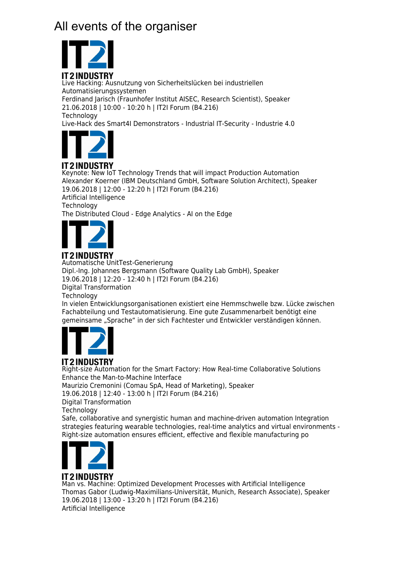# All events of the organiser



Live Hacking: Ausnutzung von Sicherheitslücken bei industriellen Automatisierungssystemen Ferdinand Jarisch (Fraunhofer Institut AISEC, Research Scientist), Speaker 21.06.2018 | 10:00 - 10:20 h | IT2I Forum (B4.216) **Technology** Live-Hack des Smart4I Demonstrators - Industrial IT-Security - Industrie 4.0



## **IT2INDUSTRY**

Keynote: New IoT Technology Trends that will impact Production Automation Alexander Koerner (IBM Deutschland GmbH, Software Solution Architect), Speaker 19.06.2018 | 12:00 - 12:20 h | IT2I Forum (B4.216)

Artificial Intelligence **Technology** The Distributed Cloud - Edge Analytics - AI on the Edge



# IT2INDUSTRY

Automatische UnitTest-Generierung Dipl.-Ing. Johannes Bergsmann (Software Quality Lab GmbH), Speaker 19.06.2018 | 12:20 - 12:40 h | IT2I Forum (B4.216) Digital Transformation **Technology** In vielen Entwicklungsorganisationen existiert eine Hemmschwelle bzw. Lücke zwischen Fachabteilung und Testautomatisierung. Eine gute Zusammenarbeit benötigt eine





# **IT2INDUSTRY**

Right-size Automation for the Smart Factory: How Real-time Collaborative Solutions Enhance the Man-to-Machine Interface Maurizio Cremonini (Comau SpA, Head of Marketing), Speaker 19.06.2018 | 12:40 - 13:00 h | IT2I Forum (B4.216) Digital Transformation **Technology** Safe, collaborative and synergistic human and machine-driven automation Integration strategies featuring wearable technologies, real-time analytics and virtual environments - Right-size automation ensures efficient, effective and flexible manufacturing po



#### Man vs. Machine: Optimized Development Processes with Artificial Intelligence Thomas Gabor (Ludwig-Maximilians-Universität, Munich, Research Associate), Speaker 19.06.2018 | 13:00 - 13:20 h | IT2I Forum (B4.216) Artificial Intelligence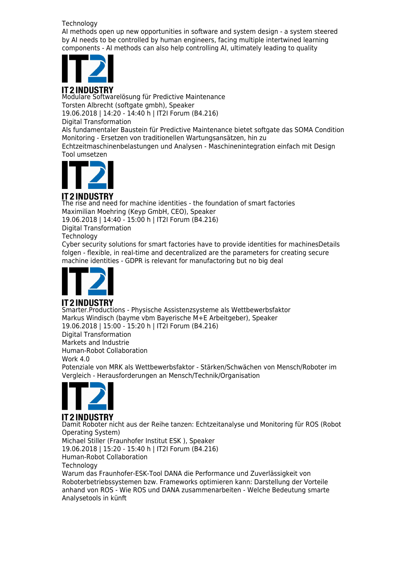#### **Technology**

AI methods open up new opportunities in software and system design - a system steered by AI needs to be controlled by human engineers, facing multiple intertwined learning components - AI methods can also help controlling AI, ultimately leading to quality



Modulare Softwarelösung für Predictive Maintenance Torsten Albrecht (softgate gmbh), Speaker 19.06.2018 | 14:20 - 14:40 h | IT2I Forum (B4.216) Digital Transformation

Als fundamentaler Baustein für Predictive Maintenance bietet softgate das SOMA Condition Monitoring - Ersetzen von traditionellen Wartungsansätzen, hin zu

Echtzeitmaschinenbelastungen und Analysen - Maschinenintegration einfach mit Design Tool umsetzen



**IT2INDUSTRY** The rise and need for machine identities - the foundation of smart factories Maximilian Moehring (Keyp GmbH, CEO), Speaker 19.06.2018 | 14:40 - 15:00 h | IT2I Forum (B4.216) Digital Transformation **Technology** Cyber security solutions for smart factories have to provide identities for machinesDetails folgen - flexible, in real-time and decentralized are the parameters for creating secure

machine identities - GDPR is relevant for manufactoring but no big deal



## **IT2INDUSTRY**

Smarter.Productions - Physische Assistenzsysteme als Wettbewerbsfaktor Markus Windisch (bayme vbm Bayerische M+E Arbeitgeber), Speaker 19.06.2018 | 15:00 - 15:20 h | IT2I Forum (B4.216) Digital Transformation Markets and Industrie Human-Robot Collaboration Work 4.0 Potenziale von MRK als Wettbewerbsfaktor - Stärken/Schwächen von Mensch/Roboter im Vergleich - Herausforderungen an Mensch/Technik/Organisation



**IT2INDUSTRY** Damit Roboter nicht aus der Reihe tanzen: Echtzeitanalyse und Monitoring für ROS (Robot Operating System) Michael Stiller (Fraunhofer Institut ESK ), Speaker 19.06.2018 | 15:20 - 15:40 h | IT2I Forum (B4.216) Human-Robot Collaboration **Technology** Warum das Fraunhofer-ESK-Tool DANA die Performance und Zuverlässigkeit von Roboterbetriebssystemen bzw. Frameworks optimieren kann: Darstellung der Vorteile anhand von ROS - Wie ROS und DANA zusammenarbeiten - Welche Bedeutung smarte Analysetools in künft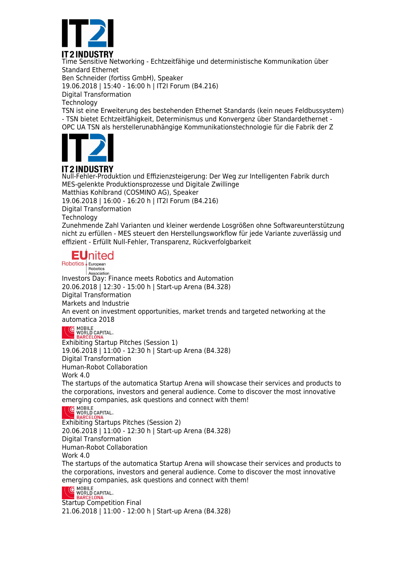

Time Sensitive Networking - Echtzeitfähige und deterministische Kommunikation über Standard Ethernet Ben Schneider (fortiss GmbH), Speaker 19.06.2018 | 15:40 - 16:00 h | IT2I Forum (B4.216)

Digital Transformation

**Technology** 

TSN ist eine Erweiterung des bestehenden Ethernet Standards (kein neues Feldbussystem) - TSN bietet Echtzeitfähigkeit, Determinismus und Konvergenz über Standardethernet - OPC UA TSN als herstellerunabhängige Kommunikationstechnologie für die Fabrik der Z



## **IT 2 INDUSTRY**

Null-Fehler-Produktion und Effizienzsteigerung: Der Weg zur Intelligenten Fabrik durch MES-gelenkte Produktionsprozesse und Digitale Zwillinge Matthias Kohlbrand (COSMINO AG), Speaker 19.06.2018 | 16:00 - 16:20 h | IT2I Forum (B4.216) Digital Transformation **Technology** Zunehmende Zahl Varianten und kleiner werdende Losgrößen ohne Softwareunterstützung nicht zu erfüllen - MES steuert den Herstellungsworkflow für jede Variante zuverlässig und effizient - Erfüllt Null-Fehler, Transparenz, Rückverfolgbarkeit

# **EU**nited

Robotics European Robotics

Association Investors Day: Finance meets Robotics and Automation 20.06.2018 | 12:30 - 15:00 h | Start-up Arena (B4.328) Digital Transformation Markets and Industrie An event on investment opportunities, market trends and targeted networking at the automatica 2018

# **C** MOBILE<br>WORLD CAPITAL.

Exhibiting Startup Pitches (Session 1) 19.06.2018 | 11:00 - 12:30 h | Start-up Arena (B4.328) Digital Transformation Human-Robot Collaboration Work 4.0 The startups of the automatica Startup Arena will showcase their services and products to the corporations, investors and general audience. Come to discover the most innovative

emerging companies, ask questions and connect with them!<br> $\bigcup_{\text{WORLD}}$  CAPITAL.



ARCEL Exhibiting Startups Pitches (Session 2) 20.06.2018 | 11:00 - 12:30 h | Start-up Arena (B4.328) Digital Transformation Human-Robot Collaboration Work 4.0 The startups of the automatica Startup Arena will showcase their services and products to the corporations, investors and general audience. Come to discover the most innovative

emerging companies, ask questions and connect with them!<br>
C MOBILE<br>
BARCELONA



Startup Competition Final 21.06.2018 | 11:00 - 12:00 h | Start-up Arena (B4.328)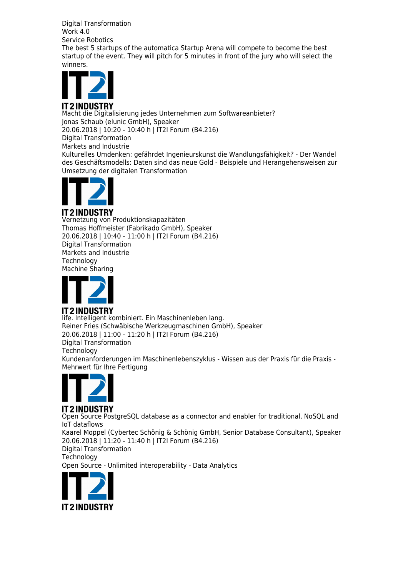Digital Transformation Work 4.0 Service Robotics The best 5 startups of the automatica Startup Arena will compete to become the best startup of the event. They will pitch for 5 minutes in front of the jury who will select the winners.



Macht die Digitalisierung jedes Unternehmen zum Softwareanbieter? Jonas Schaub (elunic GmbH), Speaker 20.06.2018 | 10:20 - 10:40 h | IT2I Forum (B4.216) Digital Transformation Markets and Industrie Kulturelles Umdenken: gefährdet Ingenieurskunst die Wandlungsfähigkeit? - Der Wandel des Geschäftsmodells: Daten sind das neue Gold - Beispiele und Herangehensweisen zur Umsetzung der digitalen Transformation



### **IT2INDUSTRY**

Vernetzung von Produktionskapazitäten Thomas Hoffmeister (Fabrikado GmbH), Speaker 20.06.2018 | 10:40 - 11:00 h | IT2I Forum (B4.216) Digital Transformation Markets and Industrie **Technology** Machine Sharing



### **IT2INDUSTRY**

life. Intelligent kombiniert. Ein Maschinenleben lang. Reiner Fries (Schwäbische Werkzeugmaschinen GmbH), Speaker 20.06.2018 | 11:00 - 11:20 h | IT2I Forum (B4.216) Digital Transformation **Technology** Kundenanforderungen im Maschinenlebenszyklus - Wissen aus der Praxis für die Praxis - Mehrwert für Ihre Fertigung



#### **IT2INDUSTRY** Open Source PostgreSQL database as a connector and enabler for traditional, NoSQL and IoT dataflows Kaarel Moppel (Cybertec Schönig & Schönig GmbH, Senior Database Consultant), Speaker 20.06.2018 | 11:20 - 11:40 h | IT2I Forum (B4.216) Digital Transformation **Technology**

Open Source - Unlimited interoperability - Data Analytics

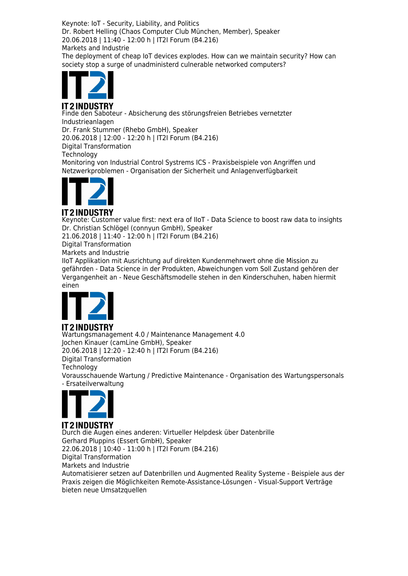Keynote: IoT - Security, Liability, and Politics Dr. Robert Helling (Chaos Computer Club München, Member), Speaker 20.06.2018 | 11:40 - 12:00 h | IT2I Forum (B4.216) Markets and Industrie

The deployment of cheap IoT devices explodes. How can we maintain security? How can society stop a surge of unadministerd culnerable networked computers?



Finde den Saboteur - Absicherung des störungsfreien Betriebes vernetzter Industrieanlagen Dr. Frank Stummer (Rhebo GmbH), Speaker 20.06.2018 | 12:00 - 12:20 h | IT2I Forum (B4.216) Digital Transformation **Technology** Monitoring von Industrial Control Systrems ICS - Praxisbeispiele von Angriffen und Netzwerkproblemen - Organisation der Sicherheit und Anlagenverfügbarkeit



#### **IT2INDUSTRY**

Keynote: Customer value first: next era of IIoT - Data Science to boost raw data to insights Dr. Christian Schlögel (connyun GmbH), Speaker

21.06.2018 | 11:40 - 12:00 h | IT2I Forum (B4.216)

Digital Transformation

Markets and Industrie

IIoT Applikation mit Ausrichtung auf direkten Kundenmehrwert ohne die Mission zu gefährden - Data Science in der Produkten, Abweichungen vom Soll Zustand gehören der Vergangenheit an - Neue Geschäftsmodelle stehen in den Kinderschuhen, haben hiermit einen



#### Wartungsmanagement 4.0 / Maintenance Management 4.0 Jochen Kinauer (camLine GmbH), Speaker 20.06.2018 | 12:20 - 12:40 h | IT2I Forum (B4.216) Digital Transformation Technology Vorausschauende Wartung / Predictive Maintenance - Organisation des Wartungspersonals - Ersateilverwaltung



#### **IT2INDUSTRY** Durch die Augen eines anderen: Virtueller Helpdesk über Datenbrille Gerhard Pluppins (Essert GmbH), Speaker 22.06.2018 | 10:40 - 11:00 h | IT2I Forum (B4.216) Digital Transformation Markets and Industrie Automatisierer setzen auf Datenbrillen und Augmented Reality Systeme - Beispiele aus der Praxis zeigen die Möglichkeiten Remote-Assistance-Lösungen - Visual-Support Verträge bieten neue Umsatzquellen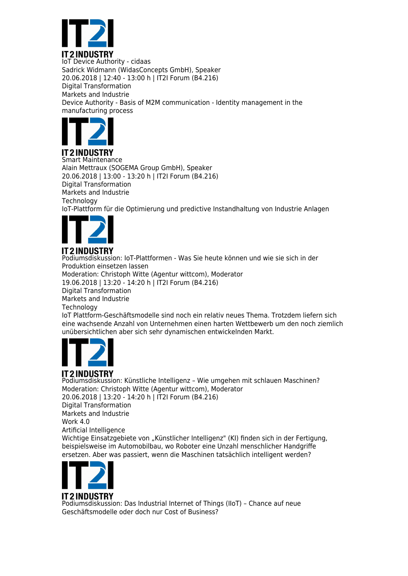

IoT Device Authority - cidaas Sadrick Widmann (WidasConcepts GmbH), Speaker 20.06.2018 | 12:40 - 13:00 h | IT2I Forum (B4.216) Digital Transformation Markets and Industrie Device Authority - Basis of M2M communication - Identity management in the manufacturing process



**IT 2 INDUSTRY** Smart Maintenance Alain Mettraux (SOGEMA Group GmbH), Speaker 20.06.2018 | 13:00 - 13:20 h | IT2I Forum (B4.216) Digital Transformation Markets and Industrie **Technology** IoT-Plattform für die Optimierung und predictive Instandhaltung von Industrie Anlagen



#### **IT2INDUSTRY** Podiumsdiskussion: IoT-Plattformen - Was Sie heute können und wie sie sich in der Produktion einsetzen lassen Moderation: Christoph Witte (Agentur wittcom), Moderator 19.06.2018 | 13:20 - 14:20 h | IT2I Forum (B4.216) Digital Transformation Markets and Industrie **Technology** IoT Plattform-Geschäftsmodelle sind noch ein relativ neues Thema. Trotzdem liefern sich eine wachsende Anzahl von Unternehmen einen harten Wettbewerb um den noch ziemlich

unübersichtlichen aber sich sehr dynamischen entwickelnden Markt.



# **IT2INDUSTRY**

Podiumsdiskussion: Künstliche Intelligenz – Wie umgehen mit schlauen Maschinen? Moderation: Christoph Witte (Agentur wittcom), Moderator 20.06.2018 | 13:20 - 14:20 h | IT2I Forum (B4.216) Digital Transformation Markets and Industrie Work 4.0 Artificial Intelligence Wichtige Einsatzgebiete von "Künstlicher Intelligenz" (KI) finden sich in der Fertigung, beispielsweise im Automobilbau, wo Roboter eine Unzahl menschlicher Handgriffe ersetzen. Aber was passiert, wenn die Maschinen tatsächlich intelligent werden?



Podiumsdiskussion: Das Industrial Internet of Things (IIoT) – Chance auf neue Geschäftsmodelle oder doch nur Cost of Business?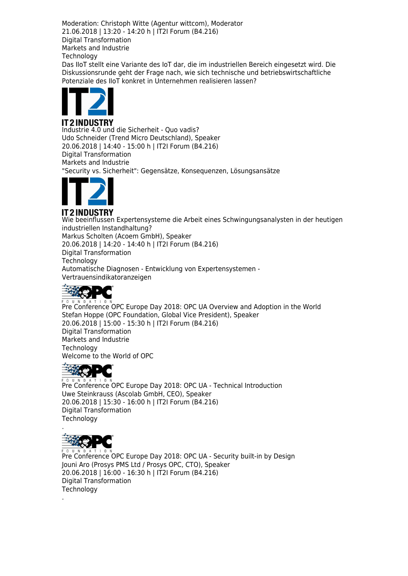Moderation: Christoph Witte (Agentur wittcom), Moderator 21.06.2018 | 13:20 - 14:20 h | IT2I Forum (B4.216) Digital Transformation Markets and Industrie **Technology** 

Das IIoT stellt eine Variante des IoT dar, die im industriellen Bereich eingesetzt wird. Die Diskussionsrunde geht der Frage nach, wie sich technische und betriebswirtschaftliche Potenziale des IIoT konkret in Unternehmen realisieren lassen?



**IT2INDUSTRY** Industrie 4.0 und die Sicherheit - Quo vadis? Udo Schneider (Trend Micro Deutschland), Speaker 20.06.2018 | 14:40 - 15:00 h | IT2I Forum (B4.216) Digital Transformation Markets and Industrie "Security vs. Sicherheit": Gegensätze, Konsequenzen, Lösungsansätze



# **IT2INDUSTRY**

Wie beeinflussen Expertensysteme die Arbeit eines Schwingungsanalysten in der heutigen industriellen Instandhaltung? Markus Scholten (Acoem GmbH), Speaker 20.06.2018 | 14:20 - 14:40 h | IT2I Forum (B4.216) Digital Transformation **Technology** Automatische Diagnosen - Entwicklung von Expertensystemen - Vertrauensindikatoranzeigen



PRE COUND AT LONG COPC Europe Day 2018: OPC UA Overview and Adoption in the World Stefan Hoppe (OPC Foundation, Global Vice President), Speaker 20.06.2018 | 15:00 - 15:30 h | IT2I Forum (B4.216) Digital Transformation Markets and Industrie **Technology** Welcome to the World of OPC



**PROPALM DAT 1 0 N**<br>Pre Conference OPC Europe Day 2018: OPC UA - Technical Introduction Uwe Steinkrauss (Ascolab GmbH, CEO), Speaker 20.06.2018 | 15:30 - 16:00 h | IT2I Forum (B4.216) Digital Transformation **Technology** 



.

Pre Conference OPC Europe Day 2018: OPC UA - Security built-in by Design Jouni Aro (Prosys PMS Ltd / Prosys OPC, CTO), Speaker 20.06.2018 | 16:00 - 16:30 h | IT2I Forum (B4.216) Digital Transformation **Technology**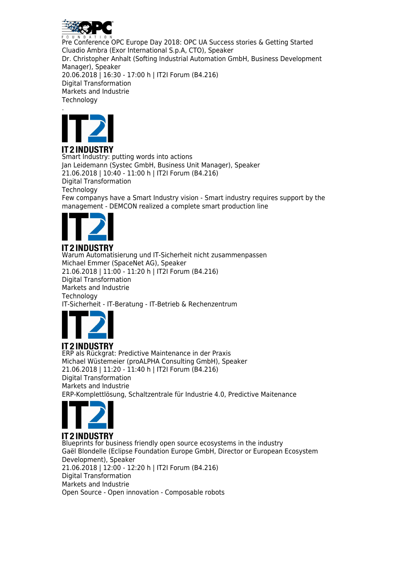

Pre Conference OPC Europe Day 2018: OPC UA Success stories & Getting Started Cluadio Ambra (Exor International S.p.A, CTO), Speaker Dr. Christopher Anhalt (Softing Industrial Automation GmbH, Business Development Manager), Speaker 20.06.2018 | 16:30 - 17:00 h | IT2I Forum (B4.216) Digital Transformation Markets and Industrie **Technology** .



**IT2INDUSTRY** Smart Industry: putting words into actions Jan Leidemann (Systec GmbH, Business Unit Manager), Speaker 21.06.2018 | 10:40 - 11:00 h | IT2I Forum (B4.216) Digital Transformation **Technology** Few companys have a Smart Industry vision - Smart industry requires support by the management - DEMCON realized a complete smart production line



# **IT2INDUSTRY**

Warum Automatisierung und IT-Sicherheit nicht zusammenpassen Michael Emmer (SpaceNet AG), Speaker 21.06.2018 | 11:00 - 11:20 h | IT2I Forum (B4.216) Digital Transformation Markets and Industrie **Technology** IT-Sicherheit - IT-Beratung - IT-Betrieb & Rechenzentrum



ERP als Rückgrat: Predictive Maintenance in der Praxis Michael Wüstemeier (proALPHA Consulting GmbH), Speaker 21.06.2018 | 11:20 - 11:40 h | IT2I Forum (B4.216) Digital Transformation Markets and Industrie ERP-Komplettlösung, Schaltzentrale für Industrie 4.0, Predictive Maitenance



**IT2INDUSTRY** Blueprints for business friendly open source ecosystems in the industry Gaël Blondelle (Eclipse Foundation Europe GmbH, Director or European Ecosystem Development), Speaker 21.06.2018 | 12:00 - 12:20 h | IT2I Forum (B4.216) Digital Transformation Markets and Industrie Open Source - Open innovation - Composable robots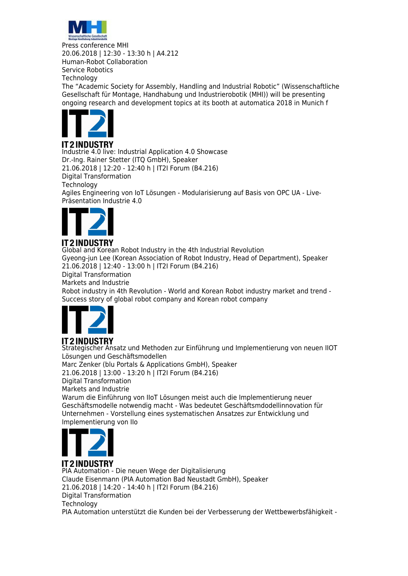

Press conference MHI 20.06.2018 | 12:30 - 13:30 h | A4.212 Human-Robot Collaboration Service Robotics **Technology** The "Academic Society for Assembly, Handling and Industrial Robotic" (Wissenschaftliche Gesellschaft für Montage, Handhabung und Industrierobotik (MHI)) will be presenting ongoing research and development topics at its booth at automatica 2018 in Munich f



## **IT2INDUSTRY**

Industrie 4.0 live: Industrial Application 4.0 Showcase Dr.-Ing. Rainer Stetter (ITQ GmbH), Speaker 21.06.2018 | 12:20 - 12:40 h | IT2I Forum (B4.216) Digital Transformation **Technology** Agiles Engineering von IoT Lösungen - Modularisierung auf Basis von OPC UA - Live-Präsentation Industrie 4.0



# **IT2INDUSTRY**

Global and Korean Robot Industry in the 4th Industrial Revolution Gyeong-jun Lee (Korean Association of Robot Industry, Head of Department), Speaker 21.06.2018 | 12:40 - 13:00 h | IT2I Forum (B4.216) Digital Transformation Markets and Industrie Robot industry in 4th Revolution - World and Korean Robot industry market and trend - Success story of global robot company and Korean robot company



# **IT2INDUSTRY**

Strategischer Ansatz und Methoden zur Einführung und Implementierung von neuen IIOT Lösungen und Geschäftsmodellen Marc Zenker (blu Portals & Applications GmbH), Speaker 21.06.2018 | 13:00 - 13:20 h | IT2I Forum (B4.216) Digital Transformation Markets and Industrie Warum die Einführung von IIoT Lösungen meist auch die Implementierung neuer Geschäftsmodelle notwendig macht - Was bedeutet Geschäftsmdodellinnovation für Unternehmen - Vorstellung eines systematischen Ansatzes zur Entwicklung und Implementierung von IIo



# **IT2INDUSTRY**

PIA Automation - Die neuen Wege der Digitalisierung Claude Eisenmann (PIA Automation Bad Neustadt GmbH), Speaker 21.06.2018 | 14:20 - 14:40 h | IT2I Forum (B4.216) Digital Transformation **Technology** PIA Automation unterstützt die Kunden bei der Verbesserung der Wettbewerbsfähigkeit -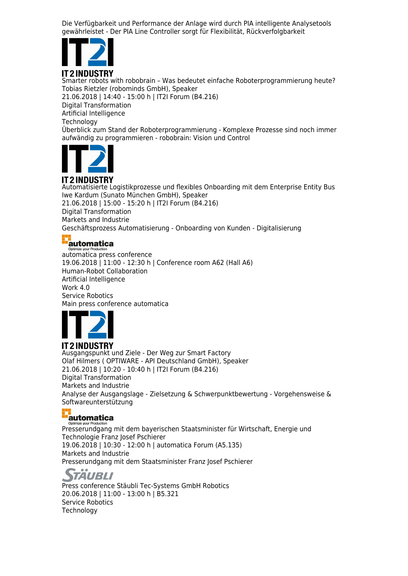Die Verfügbarkeit und Performance der Anlage wird durch PIA intelligente Analysetools gewährleistet - Der PIA Line Controller sorgt für Flexibilität, Rückverfolgbarkeit



## **IT2INDUSTRY**

Smarter robots with robobrain – Was bedeutet einfache Roboterprogrammierung heute? Tobias Rietzler (robominds GmbH), Speaker 21.06.2018 | 14:40 - 15:00 h | IT2I Forum (B4.216) Digital Transformation Artificial Intelligence **Technology** Überblick zum Stand der Roboterprogrammierung - Komplexe Prozesse sind noch immer aufwändig zu programmieren - robobrain: Vision und Control



## **IT2INDUSTRY**

Automatisierte Logistikprozesse und flexibles Onboarding mit dem Enterprise Entity Bus Iwe Kardum (Sunato München GmbH), Speaker 21.06.2018 | 15:00 - 15:20 h | IT2I Forum (B4.216) Digital Transformation Markets and Industrie Geschäftsprozess Automatisierung - Onboarding von Kunden - Digitalisierung

# automatica

automatica press conference 19.06.2018 | 11:00 - 12:30 h | Conference room A62 (Hall A6) Human-Robot Collaboration Artificial Intelligence Work 4.0 Service Robotics Main press conference automatica



**IT2INDUSTRY** Ausgangspunkt und Ziele - Der Weg zur Smart Factory Olaf Hilmers ( OPTIWARE - API Deutschland GmbH), Speaker 21.06.2018 | 10:20 - 10:40 h | IT2I Forum (B4.216) Digital Transformation Markets and Industrie Analyse der Ausgangslage - Zielsetzung & Schwerpunktbewertung - Vorgehensweise & Softwareunterstützung

## automatica

Presserundgang mit dem bayerischen Staatsminister für Wirtschaft, Energie und Technologie Franz Josef Pschierer 19.06.2018 | 10:30 - 12:00 h | automatica Forum (A5.135) Markets and Industrie Presserundgang mit dem Staatsminister Franz Josef Pschierer

# *TAUBLI*

Press conference Stäubli Tec-Systems GmbH Robotics 20.06.2018 | 11:00 - 13:00 h | B5.321 Service Robotics **Technology**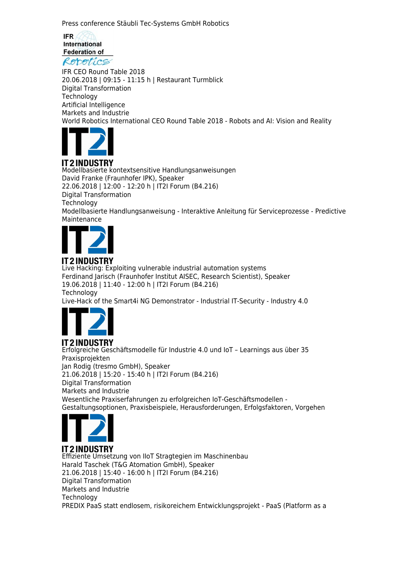Press conference Stäubli Tec-Systems GmbH Robotics

**IFR** International **Federation of** Reportics

IFR CEO Round Table 2018 20.06.2018 | 09:15 - 11:15 h | Restaurant Turmblick Digital Transformation **Technology** Artificial Intelligence Markets and Industrie World Robotics International CEO Round Table 2018 - Robots and AI: Vision and Reality



# IT2 INDUSTRY

Modellbasierte kontextsensitive Handlungsanweisungen David Franke (Fraunhofer IPK), Speaker 22.06.2018 | 12:00 - 12:20 h | IT2I Forum (B4.216) Digital Transformation **Technology** Modellbasierte Handlungsanweisung - Interaktive Anleitung für Serviceprozesse - Predictive Maintenance



#### **IT2INDUSTRY** Live Hacking: Exploiting vulnerable industrial automation systems Ferdinand Jarisch (Fraunhofer Institut AISEC, Research Scientist), Speaker 19.06.2018 | 11:40 - 12:00 h | IT2I Forum (B4.216) **Technology** Live-Hack of the Smart4i NG Demonstrator - Industrial IT-Security - Industry 4.0



**IT2INDUSTRY** Erfolgreiche Geschäftsmodelle für Industrie 4.0 und IoT – Learnings aus über 35 Praxisprojekten Jan Rodig (tresmo GmbH), Speaker 21.06.2018 | 15:20 - 15:40 h | IT2I Forum (B4.216) Digital Transformation Markets and Industrie Wesentliche Praxiserfahrungen zu erfolgreichen IoT-Geschäftsmodellen - Gestaltungsoptionen, Praxisbeispiele, Herausforderungen, Erfolgsfaktoren, Vorgehen



**IT2INDUSTRY** Effiziente Umsetzung von IIoT Stragtegien im Maschinenbau Harald Taschek (T&G Atomation GmbH), Speaker 21.06.2018 | 15:40 - 16:00 h | IT2I Forum (B4.216) Digital Transformation Markets and Industrie Technology PREDIX PaaS statt endlosem, risikoreichem Entwicklungsprojekt - PaaS (Platform as a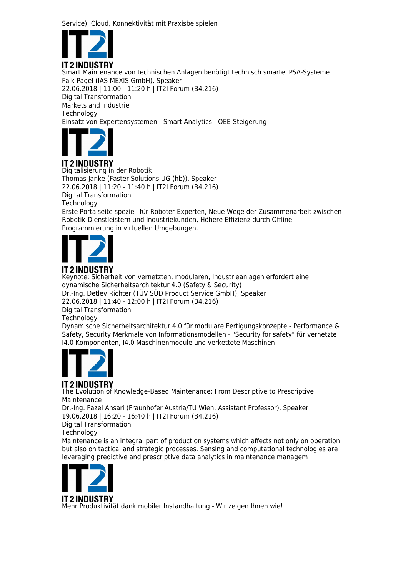Service), Cloud, Konnektivität mit Praxisbeispielen



Smart Maintenance von technischen Anlagen benötigt technisch smarte IPSA-Systeme Falk Pagel (IAS MEXIS GmbH), Speaker 22.06.2018 | 11:00 - 11:20 h | IT2I Forum (B4.216) Digital Transformation Markets and Industrie **Technology** Einsatz von Expertensystemen - Smart Analytics - OEE-Steigerung



# IT 2 INDUSTRY

Digitalisierung in der Robotik Thomas Janke (Faster Solutions UG (hb)), Speaker 22.06.2018 | 11:20 - 11:40 h | IT2I Forum (B4.216) Digital Transformation **Technology** Erste Portalseite speziell für Roboter-Experten, Neue Wege der Zusammenarbeit zwischen Robotik-Dienstleistern und Industriekunden, Höhere Effizienz durch Offline-

Programmierung in virtuellen Umgebungen.



# **IT2INDUSTRY**

Keynote: Sicherheit von vernetzten, modularen, Industrieanlagen erfordert eine dynamische Sicherheitsarchitektur 4.0 (Safety & Security) Dr.-Ing. Detlev Richter (TÜV SÜD Product Service GmbH), Speaker 22.06.2018 | 11:40 - 12:00 h | IT2I Forum (B4.216) Digital Transformation Technology Dynamische Sicherheitsarchitektur 4.0 für modulare Fertigungskonzepte - Performance & Safety, Security Merkmale von Informationsmodellen - "Security for safety" für vernetzte I4.0 Komponenten, I4.0 Maschinenmodule und verkettete Maschinen



# **IT2INDUSTRY**

The Evolution of Knowledge-Based Maintenance: From Descriptive to Prescriptive Maintenance

Dr.-Ing. Fazel Ansari (Fraunhofer Austria/TU Wien, Assistant Professor), Speaker 19.06.2018 | 16:20 - 16:40 h | IT2I Forum (B4.216)

Digital Transformation

**Technology** 

Maintenance is an integral part of production systems which affects not only on operation but also on tactical and strategic processes. Sensing and computational technologies are leveraging predictive and prescriptive data analytics in maintenance managem



Mehr Produktivität dank mobiler Instandhaltung - Wir zeigen Ihnen wie!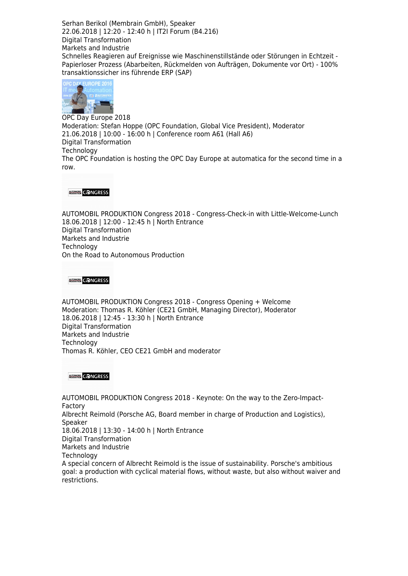Serhan Berikol (Membrain GmbH), Speaker 22.06.2018 | 12:20 - 12:40 h | IT2I Forum (B4.216) Digital Transformation Markets and Industrie Schnelles Reagieren auf Ereignisse wie Maschinenstillstände oder Störungen in Echtzeit - Papierloser Prozess (Abarbeiten, Rückmelden von Aufträgen, Dokumente vor Ort) - 100% transaktionssicher ins führende ERP (SAP)



OPC Day Europe 2018 Moderation: Stefan Hoppe (OPC Foundation, Global Vice President), Moderator 21.06.2018 | 10:00 - 16:00 h | Conference room A61 (Hall A6) Digital Transformation **Technology** The OPC Foundation is hosting the OPC Day Europe at automatica for the second time in a row.

#### **AUSTRALIA CONGRESS**

AUTOMOBIL PRODUKTION Congress 2018 - Congress-Check-in with Little-Welcome-Lunch 18.06.2018 | 12:00 - 12:45 h | North Entrance Digital Transformation Markets and Industrie Technology On the Road to Autonomous Production

**AUTOMOBIA** CONGRESS

AUTOMOBIL PRODUKTION Congress 2018 - Congress Opening + Welcome Moderation: Thomas R. Köhler (CE21 GmbH, Managing Director), Moderator 18.06.2018 | 12:45 - 13:30 h | North Entrance Digital Transformation Markets and Industrie **Technology** Thomas R. Köhler, CEO CE21 GmbH and moderator

**AUTOMOBIA** CONGRESS

AUTOMOBIL PRODUKTION Congress 2018 - Keynote: On the way to the Zero-Impact-Factory Albrecht Reimold (Porsche AG, Board member in charge of Production and Logistics), Speaker 18.06.2018 | 13:30 - 14:00 h | North Entrance Digital Transformation Markets and Industrie **Technology** A special concern of Albrecht Reimold is the issue of sustainability. Porsche's ambitious goal: a production with cyclical material flows, without waste, but also without waiver and restrictions.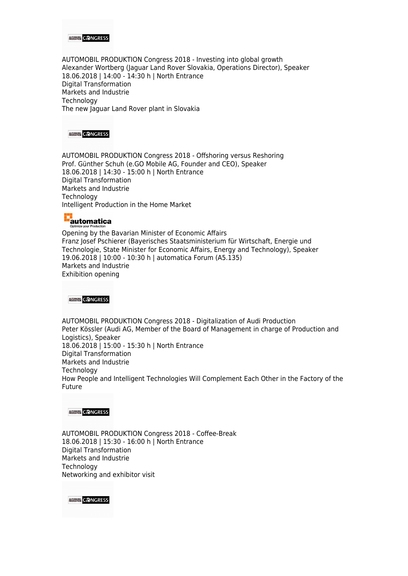

AUTOMOBIL PRODUKTION Congress 2018 - Investing into global growth Alexander Wortberg (Jaguar Land Rover Slovakia, Operations Director), Speaker 18.06.2018 | 14:00 - 14:30 h | North Entrance Digital Transformation Markets and Industrie **Technology** The new Jaguar Land Rover plant in Slovakia



AUTOMOBIL PRODUKTION Congress 2018 - Offshoring versus Reshoring Prof. Günther Schuh (e.GO Mobile AG, Founder and CEO), Speaker 18.06.2018 | 14:30 - 15:00 h | North Entrance Digital Transformation Markets and Industrie Technology Intelligent Production in the Home Market

# automatica

Opening by the Bavarian Minister of Economic Affairs Franz Josef Pschierer (Bayerisches Staatsministerium für Wirtschaft, Energie und Technologie, State Minister for Economic Affairs, Energy and Technology), Speaker 19.06.2018 | 10:00 - 10:30 h | automatica Forum (A5.135) Markets and Industrie Exhibition opening

**AUTOMOBIA** CONGRESS

AUTOMOBIL PRODUKTION Congress 2018 - Digitalization of Audi Production Peter Kössler (Audi AG, Member of the Board of Management in charge of Production and Logistics), Speaker 18.06.2018 | 15:00 - 15:30 h | North Entrance Digital Transformation Markets and Industrie **Technology** How People and Intelligent Technologies Will Complement Each Other in the Factory of the Future

#### **AUTOMOBIA** CONGRESS

AUTOMOBIL PRODUKTION Congress 2018 - Coffee-Break 18.06.2018 | 15:30 - 16:00 h | North Entrance Digital Transformation Markets and Industrie **Technology** Networking and exhibitor visit

**AUTOMOBIL** CONGRESS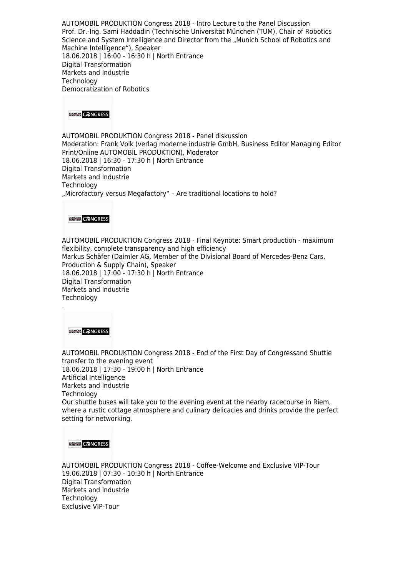AUTOMOBIL PRODUKTION Congress 2018 - Intro Lecture to the Panel Discussion Prof. Dr.-Ing. Sami Haddadin (Technische Universität München (TUM), Chair of Robotics Science and System Intelligence and Director from the "Munich School of Robotics and Machine Intelligence"), Speaker 18.06.2018 | 16:00 - 16:30 h | North Entrance Digital Transformation Markets and Industrie **Technology** Democratization of Robotics



AUTOMOBIL PRODUKTION Congress 2018 - Panel diskussion Moderation: Frank Volk (verlag moderne industrie GmbH, Business Editor Managing Editor Print/Online AUTOMOBIL PRODUKTION), Moderator 18.06.2018 | 16:30 - 17:30 h | North Entrance Digital Transformation Markets and Industrie **Technology** "Microfactory versus Megafactory" – Are traditional locations to hold?

#### **AUTOMOBIA** CONGRESS

AUTOMOBIL PRODUKTION Congress 2018 - Final Keynote: Smart production - maximum flexibility, complete transparency and high efficiency Markus Schäfer (Daimler AG, Member of the Divisional Board of Mercedes-Benz Cars, Production & Supply Chain), Speaker 18.06.2018 | 17:00 - 17:30 h | North Entrance Digital Transformation Markets and Industrie **Technology** 

**AUTOMOBIA** CONGRESS

.

AUTOMOBIL PRODUKTION Congress 2018 - End of the First Day of Congressand Shuttle transfer to the evening event 18.06.2018 | 17:30 - 19:00 h | North Entrance Artificial Intelligence Markets and Industrie **Technology** Our shuttle buses will take you to the evening event at the nearby racecourse in Riem, where a rustic cottage atmosphere and culinary delicacies and drinks provide the perfect setting for networking.

#### **AUTOMOBIK** CONGRESS

AUTOMOBIL PRODUKTION Congress 2018 - Coffee-Welcome and Exclusive VIP-Tour 19.06.2018 | 07:30 - 10:30 h | North Entrance Digital Transformation Markets and Industrie **Technology** Exclusive VIP-Tour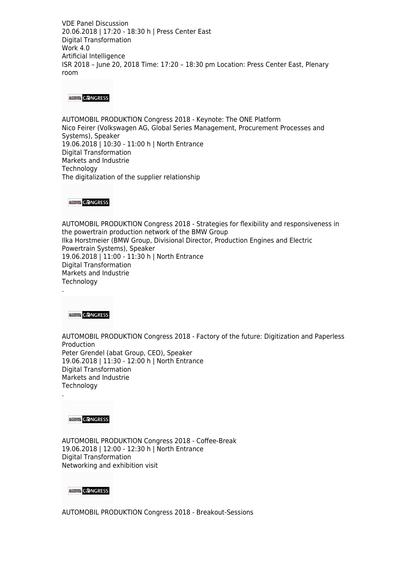VDE Panel Discussion 20.06.2018 | 17:20 - 18:30 h | Press Center East Digital Transformation Work 4.0 Artificial Intelligence ISR 2018 – June 20, 2018 Time: 17:20 – 18:30 pm Location: Press Center East, Plenary room

#### **AUTOMOBIA** CONGRESS

AUTOMOBIL PRODUKTION Congress 2018 - Keynote: The ONE Platform Nico Feirer (Volkswagen AG, Global Series Management, Procurement Processes and Systems), Speaker 19.06.2018 | 10:30 - 11:00 h | North Entrance Digital Transformation Markets and Industrie **Technology** The digitalization of the supplier relationship

**AUTOMOBIA** CONGRESS

AUTOMOBIL PRODUKTION Congress 2018 - Strategies for flexibility and responsiveness in the powertrain production network of the BMW Group Ilka Horstmeier (BMW Group, Divisional Director, Production Engines and Electric Powertrain Systems), Speaker 19.06.2018 | 11:00 - 11:30 h | North Entrance Digital Transformation Markets and Industrie **Technology** 

**AUTOMOBIL** CONGRESS

.

.

AUTOMOBIL PRODUKTION Congress 2018 - Factory of the future: Digitization and Paperless Production Peter Grendel (abat Group, CEO), Speaker 19.06.2018 | 11:30 - 12:00 h | North Entrance Digital Transformation Markets and Industrie Technology

**AUTOMOBIA** CONGRESS

AUTOMOBIL PRODUKTION Congress 2018 - Coffee-Break 19.06.2018 | 12:00 - 12:30 h | North Entrance Digital Transformation Networking and exhibition visit

#### **AUTOMOBIA** CONGRESS

AUTOMOBIL PRODUKTION Congress 2018 - Breakout-Sessions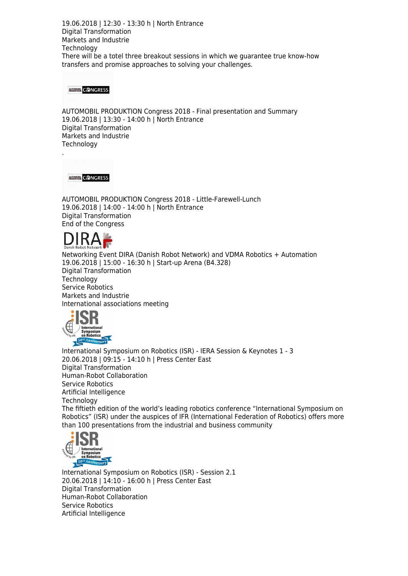19.06.2018 | 12:30 - 13:30 h | North Entrance Digital Transformation Markets and Industrie **Technology** There will be a totel three breakout sessions in which we guarantee true know-how transfers and promise approaches to solving your challenges.

#### **AUTOMOBIK** CONGRESS

AUTOMOBIL PRODUKTION Congress 2018 - Final presentation and Summary 19.06.2018 | 13:30 - 14:00 h | North Entrance Digital Transformation Markets and Industrie **Technology** 

**AUGNORIA** CONGRESS

.

AUTOMOBIL PRODUKTION Congress 2018 - Little-Farewell-Lunch 19.06.2018 | 14:00 - 14:00 h | North Entrance Digital Transformation End of the Congress



Networking Event DIRA (Danish Robot Network) and VDMA Robotics + Automation 19.06.2018 | 15:00 - 16:30 h | Start-up Arena (B4.328) Digital Transformation **Technology** Service Robotics Markets and Industrie International associations meeting



International Symposium on Robotics (ISR) - IERA Session & Keynotes 1 - 3 20.06.2018 | 09:15 - 14:10 h | Press Center East Digital Transformation Human-Robot Collaboration Service Robotics Artificial Intelligence **Technology** The fiftieth edition of the world's leading robotics conference "International Symposium on Robotics" (ISR) under the auspices of IFR (International Federation of Robotics) offers more than 100 presentations from the industrial and business community



International Symposium on Robotics (ISR) - Session 2.1 20.06.2018 | 14:10 - 16:00 h | Press Center East Digital Transformation Human-Robot Collaboration Service Robotics Artificial Intelligence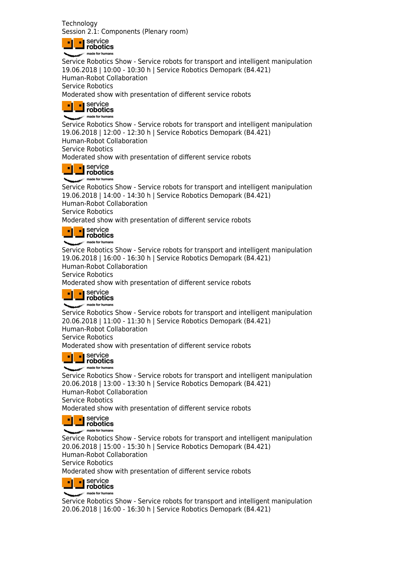**Technology** Session 2.1: Components (Plenary room)



Service Robotics Show - Service robots for transport and intelligent manipulation 19.06.2018 | 10:00 - 10:30 h | Service Robotics Demopark (B4.421) Human-Robot Collaboration Service Robotics Moderated show with presentation of different service robots

|  | <b>Service</b><br>Probotics |
|--|-----------------------------|
|  |                             |

Service Robotics Show - Service robots for transport and intelligent manipulation 19.06.2018 | 12:00 - 12:30 h | Service Robotics Demopark (B4.421) Human-Robot Collaboration Service Robotics Moderated show with presentation of different service robots

|  | $\blacksquare$ service<br>robotics |
|--|------------------------------------|
|  |                                    |

Service Robotics Show - Service robots for transport and intelligent manipulation 19.06.2018 | 14:00 - 14:30 h | Service Robotics Demopark (B4.421) Human-Robot Collaboration Service Robotics Moderated show with presentation of different service robots



Service Robotics Show - Service robots for transport and intelligent manipulation 19.06.2018 | 16:00 - 16:30 h | Service Robotics Demopark (B4.421) Human-Robot Collaboration Service Robotics

Moderated show with presentation of different service robots



Service Robotics Show - Service robots for transport and intelligent manipulation 20.06.2018 | 11:00 - 11:30 h | Service Robotics Demopark (B4.421) Human-Robot Collaboration

Service Robotics

Moderated show with presentation of different service robots



Service Robotics Show - Service robots for transport and intelligent manipulation 20.06.2018 | 13:00 - 13:30 h | Service Robotics Demopark (B4.421) Human-Robot Collaboration Service Robotics Moderated show with presentation of different service robots



Service Robotics Show - Service robots for transport and intelligent manipulation 20.06.2018 | 15:00 - 15:30 h | Service Robotics Demopark (B4.421) Human-Robot Collaboration Service Robotics Moderated show with presentation of different service robots

**delay** service made for human

Service Robotics Show - Service robots for transport and intelligent manipulation 20.06.2018 | 16:00 - 16:30 h | Service Robotics Demopark (B4.421)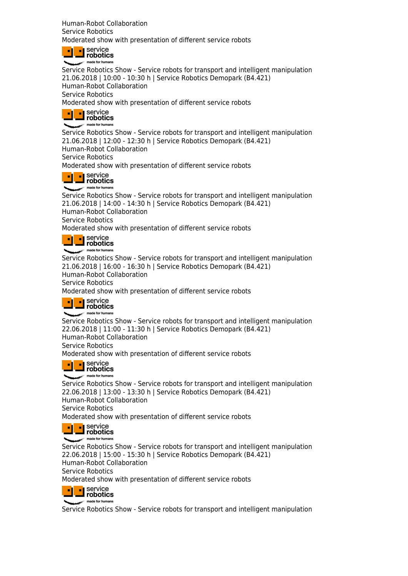Human-Robot Collaboration Service Robotics Moderated show with presentation of different service robots

| ۰. | service<br><b>Probotics</b> |
|----|-----------------------------|
|    | made for humans             |

Service Robotics Show - Service robots for transport and intelligent manipulation 21.06.2018 | 10:00 - 10:30 h | Service Robotics Demopark (B4.421) Human-Robot Collaboration Service Robotics Moderated show with presentation of different service robots

|  | <b>Service</b><br><b>Probotics</b> |
|--|------------------------------------|
|  | made for humans                    |

Service Robotics Show - Service robots for transport and intelligent manipulation 21.06.2018 | 12:00 - 12:30 h | Service Robotics Demopark (B4.421) Human-Robot Collaboration Service Robotics

Moderated show with presentation of different service robots

| <b>Service</b><br><b>Le</b> robotics |
|--------------------------------------|
| made for humans                      |

Service Robotics Show - Service robots for transport and intelligent manipulation 21.06.2018 | 14:00 - 14:30 h | Service Robotics Demopark (B4.421) Human-Robot Collaboration Service Robotics Moderated show with presentation of different service robots

| <b>Li</b> service<br>robotics |
|-------------------------------|
| made for humans               |

Service Robotics Show - Service robots for transport and intelligent manipulation 21.06.2018 | 16:00 - 16:30 h | Service Robotics Demopark (B4.421) Human-Robot Collaboration Service Robotics

Moderated show with presentation of different service robots

| $\blacksquare$ service |
|------------------------|
| robotics               |
| made for humans        |

Service Robotics Show - Service robots for transport and intelligent manipulation 22.06.2018 | 11:00 - 11:30 h | Service Robotics Demopark (B4.421) Human-Robot Collaboration Service Robotics

Moderated show with presentation of different service robots

| <b>L</b> Service<br>$\blacksquare$ robotics |
|---------------------------------------------|
|                                             |

made for humans Service Robotics Show - Service robots for transport and intelligent manipulation 22.06.2018 | 13:00 - 13:30 h | Service Robotics Demopark (B4.421) Human-Robot Collaboration Service Robotics

Moderated show with presentation of different service robots



Service Robotics Show - Service robots for transport and intelligent manipulation 22.06.2018 | 15:00 - 15:30 h | Service Robotics Demopark (B4.421) Human-Robot Collaboration Service Robotics Moderated show with presentation of different service robots



Service Robotics Show - Service robots for transport and intelligent manipulation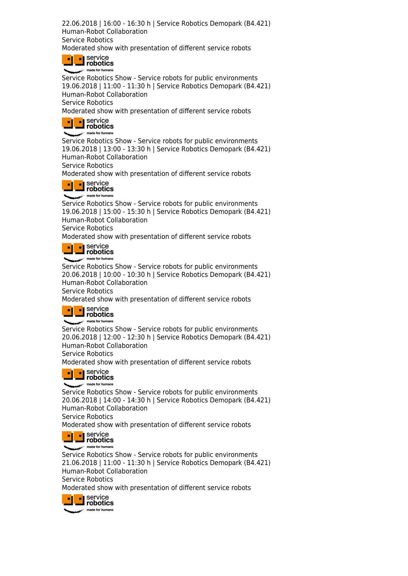22.06.2018 | 16:00 - 16:30 h | Service Robotics Demopark (B4.421) Human-Robot Collaboration Service Robotics Moderated show with presentation of different service robots

|  | $\blacksquare$ service<br>robotics |
|--|------------------------------------|
|  | made for humans                    |

Service Robotics Show - Service robots for public environments 19.06.2018 | 11:00 - 11:30 h | Service Robotics Demopark (B4.421) Human-Robot Collaboration Service Robotics

Moderated show with presentation of different service robots

|  | <b>I</b> service<br>$\blacksquare$ robotics |
|--|---------------------------------------------|
|  | made for humans                             |

Service Robotics Show - Service robots for public environments 19.06.2018 | 13:00 - 13:30 h | Service Robotics Demopark (B4.421) Human-Robot Collaboration Service Robotics

Moderated show with presentation of different service robots



Service Robotics Show - Service robots for public environments 19.06.2018 | 15:00 - 15:30 h | Service Robotics Demopark (B4.421) Human-Robot Collaboration

Service Robotics

Moderated show with presentation of different service robots



Service Robotics Show - Service robots for public environments 20.06.2018 | 10:00 - 10:30 h | Service Robotics Demopark (B4.421) Human-Robot Collaboration Service Robotics

Moderated show with presentation of different service robots



Service Robotics Show - Service robots for public environments 20.06.2018 | 12:00 - 12:30 h | Service Robotics Demopark (B4.421) Human-Robot Collaboration Service Robotics

Moderated show with presentation of different service robots

| ■ service<br>■ robotics |
|-------------------------|
|                         |
| made for humans         |

Service Robotics Show - Service robots for public environments 20.06.2018 | 14:00 - 14:30 h | Service Robotics Demopark (B4.421) Human-Robot Collaboration Service Robotics

Moderated show with presentation of different service robots



Service Robotics Show - Service robots for public environments 21.06.2018 | 11:00 - 11:30 h | Service Robotics Demopark (B4.421) Human-Robot Collaboration Service Robotics Moderated show with presentation of different service robots

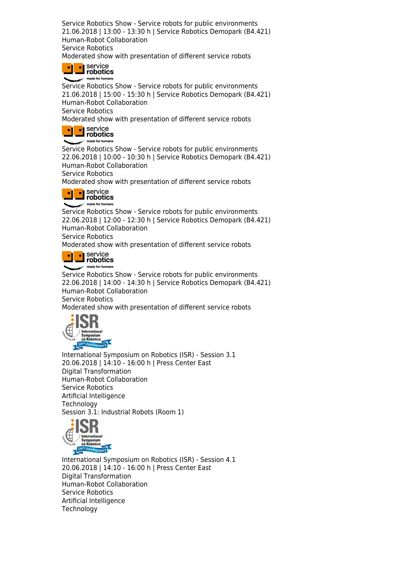Service Robotics Show - Service robots for public environments 21.06.2018 | 13:00 - 13:30 h | Service Robotics Demopark (B4.421) Human-Robot Collaboration Service Robotics

Moderated show with presentation of different service robots

**designal Service**<br> **designal** robotics made for humans

Service Robotics Show - Service robots for public environments 21.06.2018 | 15:00 - 15:30 h | Service Robotics Demopark (B4.421) Human-Robot Collaboration Service Robotics

Moderated show with presentation of different service robots



Service Robotics Show - Service robots for public environments 22.06.2018 | 10:00 - 10:30 h | Service Robotics Demopark (B4.421) Human-Robot Collaboration

Service Robotics

Moderated show with presentation of different service robots



Service Robotics Show - Service robots for public environments 22.06.2018 | 12:00 - 12:30 h | Service Robotics Demopark (B4.421) Human-Robot Collaboration Service Robotics

Moderated show with presentation of different service robots



Service Robotics Show - Service robots for public environments 22.06.2018 | 14:00 - 14:30 h | Service Robotics Demopark (B4.421) Human-Robot Collaboration Service Robotics

Moderated show with presentation of different service robots



International Symposium on Robotics (ISR) - Session 3.1 20.06.2018 | 14:10 - 16:00 h | Press Center East Digital Transformation Human-Robot Collaboration Service Robotics Artificial Intelligence Technology Session 3.1: Industrial Robots (Room 1)



International Symposium on Robotics (ISR) - Session 4.1 20.06.2018 | 14:10 - 16:00 h | Press Center East Digital Transformation Human-Robot Collaboration Service Robotics Artificial Intelligence **Technology**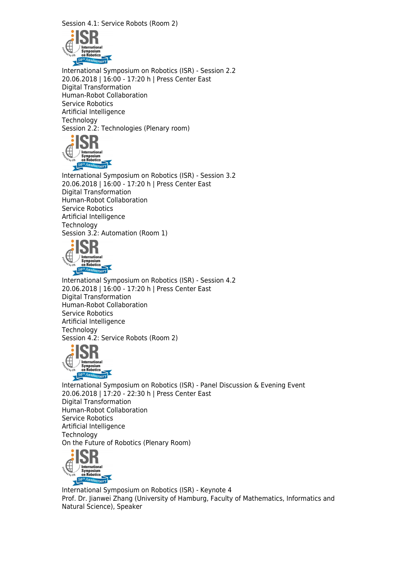Session 4.1: Service Robots (Room 2)



International Symposium on Robotics (ISR) - Session 2.2 20.06.2018 | 16:00 - 17:20 h | Press Center East Digital Transformation Human-Robot Collaboration Service Robotics Artificial Intelligence Technology Session 2.2: Technologies (Plenary room)



International Symposium on Robotics (ISR) - Session 3.2 20.06.2018 | 16:00 - 17:20 h | Press Center East Digital Transformation Human-Robot Collaboration Service Robotics Artificial Intelligence **Technology** Session 3.2: Automation (Room 1)



International Symposium on Robotics (ISR) - Session 4.2 20.06.2018 | 16:00 - 17:20 h | Press Center East Digital Transformation Human-Robot Collaboration Service Robotics Artificial Intelligence **Technology** Session 4.2: Service Robots (Room 2)



International Symposium on Robotics (ISR) - Panel Discussion & Evening Event 20.06.2018 | 17:20 - 22:30 h | Press Center East Digital Transformation Human-Robot Collaboration Service Robotics Artificial Intelligence **Technology** On the Future of Robotics (Plenary Room)



International Symposium on Robotics (ISR) - Keynote 4 Prof. Dr. Jianwei Zhang (University of Hamburg, Faculty of Mathematics, Informatics and Natural Science), Speaker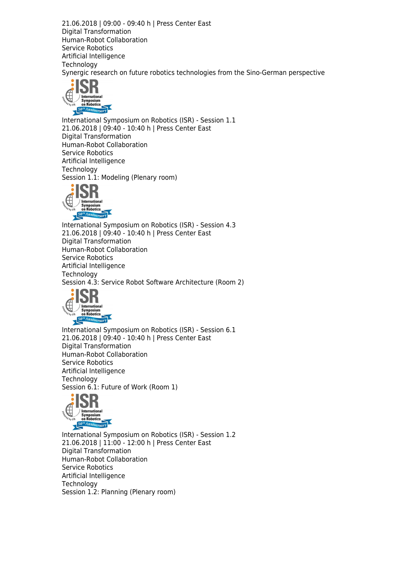21.06.2018 | 09:00 - 09:40 h | Press Center East Digital Transformation Human-Robot Collaboration Service Robotics Artificial Intelligence **Technology** Synergic research on future robotics technologies from the Sino-German perspective



International Symposium on Robotics (ISR) - Session 1.1 21.06.2018 | 09:40 - 10:40 h | Press Center East Digital Transformation Human-Robot Collaboration Service Robotics Artificial Intelligence **Technology** Session 1.1: Modeling (Plenary room)



International Symposium on Robotics (ISR) - Session 4.3 21.06.2018 | 09:40 - 10:40 h | Press Center East Digital Transformation Human-Robot Collaboration Service Robotics Artificial Intelligence **Technology** Session 4.3: Service Robot Software Architecture (Room 2)



International Symposium on Robotics (ISR) - Session 6.1 21.06.2018 | 09:40 - 10:40 h | Press Center East Digital Transformation Human-Robot Collaboration Service Robotics Artificial Intelligence **Technology** Session 6.1: Future of Work (Room 1)



International Symposium on Robotics (ISR) - Session 1.2 21.06.2018 | 11:00 - 12:00 h | Press Center East Digital Transformation Human-Robot Collaboration Service Robotics Artificial Intelligence **Technology** Session 1.2: Planning (Plenary room)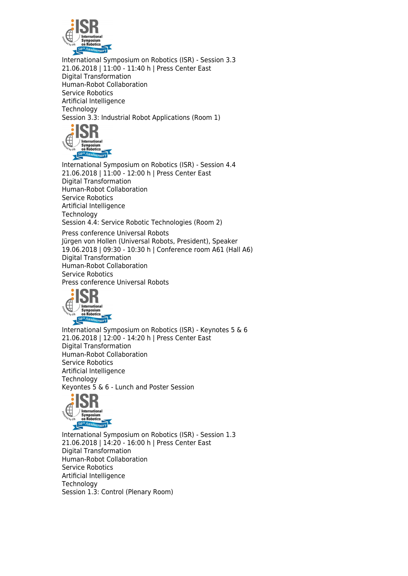

International Symposium on Robotics (ISR) - Session 3.3 21.06.2018 | 11:00 - 11:40 h | Press Center East Digital Transformation Human-Robot Collaboration Service Robotics Artificial Intelligence **Technology** Session 3.3: Industrial Robot Applications (Room 1)



International Symposium on Robotics (ISR) - Session 4.4 21.06.2018 | 11:00 - 12:00 h | Press Center East Digital Transformation Human-Robot Collaboration Service Robotics Artificial Intelligence **Technology** Session 4.4: Service Robotic Technologies (Room 2)

Press conference Universal Robots Jürgen von Hollen (Universal Robots, President), Speaker 19.06.2018 | 09:30 - 10:30 h | Conference room A61 (Hall A6) Digital Transformation Human-Robot Collaboration Service Robotics Press conference Universal Robots



International Symposium on Robotics (ISR) - Keynotes 5 & 6 21.06.2018 | 12:00 - 14:20 h | Press Center East Digital Transformation Human-Robot Collaboration Service Robotics Artificial Intelligence **Technology** Keyontes 5 & 6 - Lunch and Poster Session



International Symposium on Robotics (ISR) - Session 1.3 21.06.2018 | 14:20 - 16:00 h | Press Center East Digital Transformation Human-Robot Collaboration Service Robotics Artificial Intelligence **Technology** Session 1.3: Control (Plenary Room)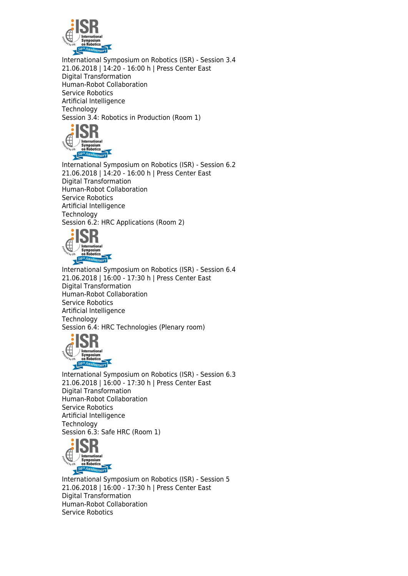

International Symposium on Robotics (ISR) - Session 3.4 21.06.2018 | 14:20 - 16:00 h | Press Center East Digital Transformation Human-Robot Collaboration Service Robotics Artificial Intelligence **Technology** Session 3.4: Robotics in Production (Room 1)



International Symposium on Robotics (ISR) - Session 6.2 21.06.2018 | 14:20 - 16:00 h | Press Center East Digital Transformation Human-Robot Collaboration Service Robotics Artificial Intelligence **Technology** Session 6.2: HRC Applications (Room 2)



International Symposium on Robotics (ISR) - Session 6.4 21.06.2018 | 16:00 - 17:30 h | Press Center East Digital Transformation Human-Robot Collaboration Service Robotics Artificial Intelligence **Technology** Session 6.4: HRC Technologies (Plenary room)



International Symposium on Robotics (ISR) - Session 6.3 21.06.2018 | 16:00 - 17:30 h | Press Center East Digital Transformation Human-Robot Collaboration Service Robotics Artificial Intelligence **Technology** Session 6.3: Safe HRC (Room 1)



International Symposium on Robotics (ISR) - Session 5 21.06.2018 | 16:00 - 17:30 h | Press Center East Digital Transformation Human-Robot Collaboration Service Robotics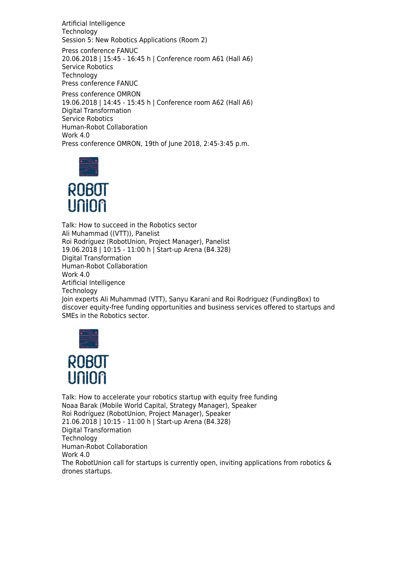Artificial Intelligence **Technology** Session 5: New Robotics Applications (Room 2)

Press conference FANUC 20.06.2018 | 15:45 - 16:45 h | Conference room A61 (Hall A6) Service Robotics **Technology** Press conference FANUC

Press conference OMRON 19.06.2018 | 14:45 - 15:45 h | Conference room A62 (Hall A6) Digital Transformation Service Robotics Human-Robot Collaboration Work 4.0 Press conference OMRON, 19th of June 2018, 2:45-3:45 p.m.





Talk: How to succeed in the Robotics sector Ali Muhammad ((VTT)), Panelist Roi Rodríguez (RobotUnion, Project Manager), Panelist 19.06.2018 | 10:15 - 11:00 h | Start-up Arena (B4.328) Digital Transformation Human-Robot Collaboration Work 4.0 Artificial Intelligence **Technology** Join experts Ali Muhammad (VTT), Sanyu Karani and Roi Rodriguez (FundingBox) to discover equity-free funding opportunities and business services offered to startups and SMEs in the Robotics sector.



Talk: How to accelerate your robotics startup with equity free funding Noaa Barak (Mobile World Capital, Strategy Manager), Speaker Roi Rodríguez (RobotUnion, Project Manager), Speaker 21.06.2018 | 10:15 - 11:00 h | Start-up Arena (B4.328) Digital Transformation **Technology** Human-Robot Collaboration Work 4.0 The RobotUnion call for startups is currently open, inviting applications from robotics & drones startups.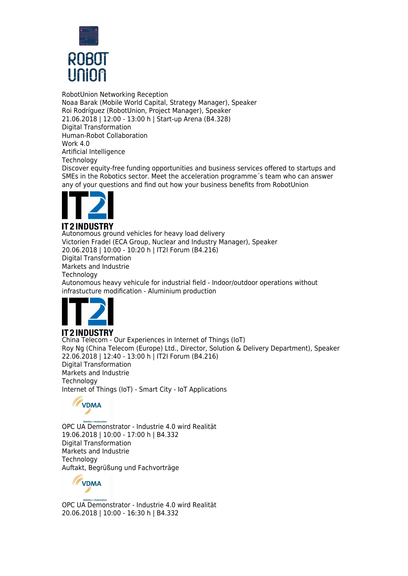

RobotUnion Networking Reception Noaa Barak (Mobile World Capital, Strategy Manager), Speaker Roi Rodríguez (RobotUnion, Project Manager), Speaker 21.06.2018 | 12:00 - 13:00 h | Start-up Arena (B4.328) Digital Transformation Human-Robot Collaboration Work 4.0 Artificial Intelligence **Technology** 

Discover equity-free funding opportunities and business services offered to startups and SMEs in the Robotics sector. Meet the acceleration programme´s team who can answer any of your questions and find out how your business benefits from RobotUnion



#### **IT2INDUSTRY**

Autonomous ground vehicles for heavy load delivery Victorien Fradel (ECA Group, Nuclear and Industry Manager), Speaker 20.06.2018 | 10:00 - 10:20 h | IT2I Forum (B4.216) Digital Transformation Markets and Industrie **Technology** Autonomous heavy vehicule for industrial field - Indoor/outdoor operations without infrastucture modification - Aluminium production



### **IT2INDUSTRY**

China Telecom - Our Experiences in Internet of Things (IoT) Roy Ng (China Telecom (Europe) Ltd., Director, Solution & Delivery Department), Speaker 22.06.2018 | 12:40 - 13:00 h | IT2I Forum (B4.216) Digital Transformation Markets and Industrie **Technology** Internet of Things (IoT) - Smart City - IoT Applications



OPC UA Demonstrator - Industrie 4.0 wird Realität 19.06.2018 | 10:00 - 17:00 h | B4.332 Digital Transformation Markets and Industrie Technology Auftakt, Begrüßung und Fachvorträge



OPC UA Demonstrator - Industrie 4.0 wird Realität 20.06.2018 | 10:00 - 16:30 h | B4.332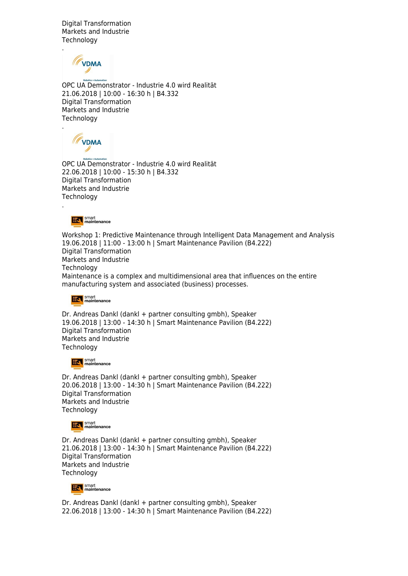Digital Transformation Markets and Industrie **Technology** 

**TVDMA** 

.

.

.

OPC UA Demonstrator - Industrie 4.0 wird Realität 21.06.2018 | 10:00 - 16:30 h | B4.332 Digital Transformation Markets and Industrie **Technology** 

**TVDMA** 

OPC UA Demonstrator - Industrie 4.0 wird Realität 22.06.2018 | 10:00 - 15:30 h | B4.332 Digital Transformation Markets and Industrie **Technology** 

smart<br> **EX** maintenance

Workshop 1: Predictive Maintenance through Intelligent Data Management and Analysis 19.06.2018 | 11:00 - 13:00 h | Smart Maintenance Pavilion (B4.222) Digital Transformation Markets and Industrie Technology Maintenance is a complex and multidimensional area that influences on the entire manufacturing system and associated (business) processes.



Dr. Andreas Dankl (dankl + partner consulting gmbh), Speaker 19.06.2018 | 13:00 - 14:30 h | Smart Maintenance Pavilion (B4.222) Digital Transformation Markets and Industrie **Technology** 

**EX** smart

Dr. Andreas Dankl (dankl + partner consulting gmbh), Speaker 20.06.2018 | 13:00 - 14:30 h | Smart Maintenance Pavilion (B4.222) Digital Transformation Markets and Industrie **Technology** 

**Ext** smart<br>maintenance

Dr. Andreas Dankl (dankl + partner consulting gmbh), Speaker 21.06.2018 | 13:00 - 14:30 h | Smart Maintenance Pavilion (B4.222) Digital Transformation Markets and Industrie **Technology** 



Dr. Andreas Dankl (dankl + partner consulting gmbh), Speaker 22.06.2018 | 13:00 - 14:30 h | Smart Maintenance Pavilion (B4.222)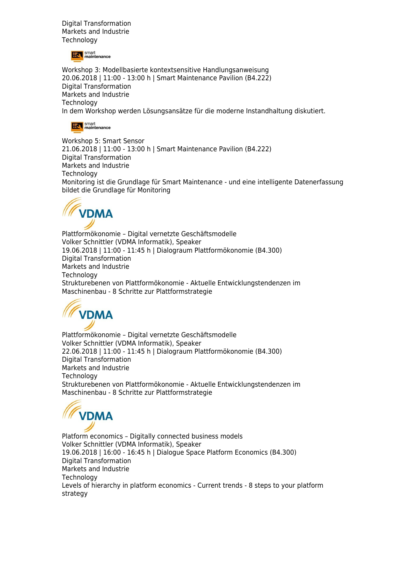Digital Transformation Markets and Industrie **Technology** 

smart<br> **EX** maintenance

Workshop 3: Modellbasierte kontextsensitive Handlungsanweisung 20.06.2018 | 11:00 - 13:00 h | Smart Maintenance Pavilion (B4.222) Digital Transformation Markets and Industrie **Technology** In dem Workshop werden Lösungsansätze für die moderne Instandhaltung diskutiert.



Workshop 5: Smart Sensor 21.06.2018 | 11:00 - 13:00 h | Smart Maintenance Pavilion (B4.222) Digital Transformation Markets and Industrie **Technology** Monitoring ist die Grundlage für Smart Maintenance - und eine intelligente Datenerfassung bildet die Grundlage für Monitoring



Plattformökonomie – Digital vernetzte Geschäftsmodelle Volker Schnittler (VDMA Informatik), Speaker 19.06.2018 | 11:00 - 11:45 h | Dialograum Plattformökonomie (B4.300) Digital Transformation Markets and Industrie **Technology** Strukturebenen von Plattformökonomie - Aktuelle Entwicklungstendenzen im Maschinenbau - 8 Schritte zur Plattformstrategie



Plattformökonomie – Digital vernetzte Geschäftsmodelle Volker Schnittler (VDMA Informatik), Speaker 22.06.2018 | 11:00 - 11:45 h | Dialograum Plattformökonomie (B4.300) Digital Transformation Markets and Industrie **Technology** Strukturebenen von Plattformökonomie - Aktuelle Entwicklungstendenzen im Maschinenbau - 8 Schritte zur Plattformstrategie



Platform economics – Digitally connected business models Volker Schnittler (VDMA Informatik), Speaker 19.06.2018 | 16:00 - 16:45 h | Dialogue Space Platform Economics (B4.300) Digital Transformation Markets and Industrie **Technology** Levels of hierarchy in platform economics - Current trends - 8 steps to your platform strategy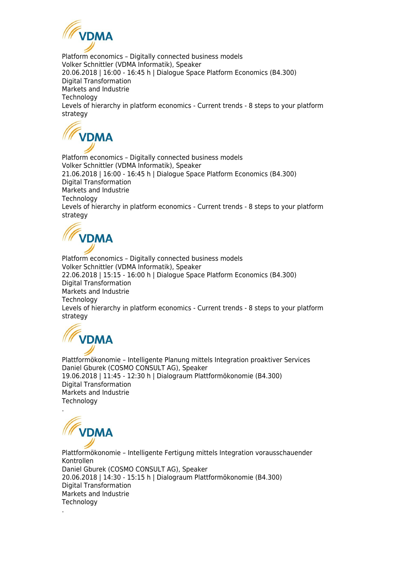

Platform economics – Digitally connected business models Volker Schnittler (VDMA Informatik), Speaker 20.06.2018 | 16:00 - 16:45 h | Dialogue Space Platform Economics (B4.300) Digital Transformation Markets and Industrie **Technology** Levels of hierarchy in platform economics - Current trends - 8 steps to your platform strategy



Platform economics – Digitally connected business models Volker Schnittler (VDMA Informatik), Speaker 21.06.2018 | 16:00 - 16:45 h | Dialogue Space Platform Economics (B4.300) Digital Transformation Markets and Industrie **Technology** Levels of hierarchy in platform economics - Current trends - 8 steps to your platform strategy



Platform economics – Digitally connected business models Volker Schnittler (VDMA Informatik), Speaker 22.06.2018 | 15:15 - 16:00 h | Dialogue Space Platform Economics (B4.300) Digital Transformation Markets and Industrie **Technology** Levels of hierarchy in platform economics - Current trends - 8 steps to your platform strategy



Plattformökonomie – Intelligente Planung mittels Integration proaktiver Services Daniel Gburek (COSMO CONSULT AG), Speaker 19.06.2018 | 11:45 - 12:30 h | Dialograum Plattformökonomie (B4.300) Digital Transformation Markets and Industrie **Technology** .

**VDMA** 

Plattformökonomie – Intelligente Fertigung mittels Integration vorausschauender Kontrollen Daniel Gburek (COSMO CONSULT AG), Speaker 20.06.2018 | 14:30 - 15:15 h | Dialograum Plattformökonomie (B4.300) Digital Transformation Markets and Industrie **Technology** .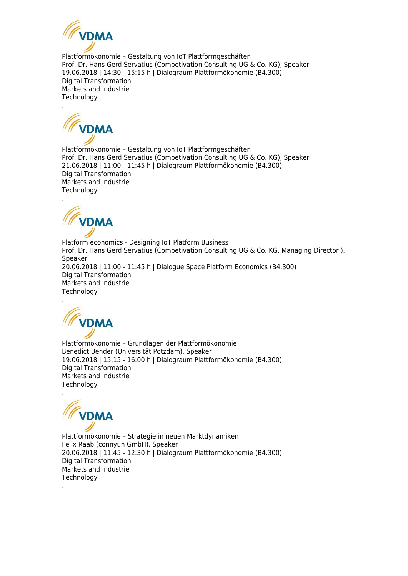

Plattformökonomie – Gestaltung von IoT Plattformgeschäften Prof. Dr. Hans Gerd Servatius (Competivation Consulting UG & Co. KG), Speaker 19.06.2018 | 14:30 - 15:15 h | Dialograum Plattformökonomie (B4.300) Digital Transformation Markets and Industrie **Technology** 



Plattformökonomie – Gestaltung von IoT Plattformgeschäften Prof. Dr. Hans Gerd Servatius (Competivation Consulting UG & Co. KG), Speaker 21.06.2018 | 11:00 - 11:45 h | Dialograum Plattformökonomie (B4.300) Digital Transformation Markets and Industrie **Technology** 



Platform economics - Designing IoT Platform Business Prof. Dr. Hans Gerd Servatius (Competivation Consulting UG & Co. KG, Managing Director), Speaker 20.06.2018 | 11:00 - 11:45 h | Dialogue Space Platform Economics (B4.300) Digital Transformation Markets and Industrie **Technology** 



Plattformökonomie – Grundlagen der Plattformökonomie Benedict Bender (Universität Potzdam), Speaker 19.06.2018 | 15:15 - 16:00 h | Dialograum Plattformökonomie (B4.300) Digital Transformation Markets and Industrie **Technology** 



Plattformökonomie – Strategie in neuen Marktdynamiken Felix Raab (connyun GmbH), Speaker 20.06.2018 | 11:45 - 12:30 h | Dialograum Plattformökonomie (B4.300) Digital Transformation Markets and Industrie **Technology** .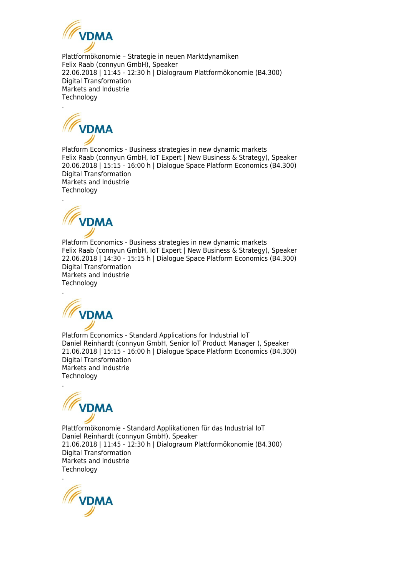

Plattformökonomie – Strategie in neuen Marktdynamiken Felix Raab (connyun GmbH), Speaker 22.06.2018 | 11:45 - 12:30 h | Dialograum Plattformökonomie (B4.300) Digital Transformation Markets and Industrie **Technology** 



.

Platform Economics - Business strategies in new dynamic markets Felix Raab (connyun GmbH, IoT Expert | New Business & Strategy), Speaker 20.06.2018 | 15:15 - 16:00 h | Dialogue Space Platform Economics (B4.300) Digital Transformation Markets and Industrie **Technology** 



Platform Economics - Business strategies in new dynamic markets Felix Raab (connyun GmbH, IoT Expert | New Business & Strategy), Speaker 22.06.2018 | 14:30 - 15:15 h | Dialogue Space Platform Economics (B4.300) Digital Transformation Markets and Industrie **Technology** 



Platform Economics - Standard Applications for Industrial IoT Daniel Reinhardt (connyun GmbH, Senior IoT Product Manager ), Speaker 21.06.2018 | 15:15 - 16:00 h | Dialogue Space Platform Economics (B4.300) Digital Transformation Markets and Industrie **Technology** 



Plattformökonomie - Standard Applikationen für das Industrial IoT Daniel Reinhardt (connyun GmbH), Speaker 21.06.2018 | 11:45 - 12:30 h | Dialograum Plattformökonomie (B4.300) Digital Transformation Markets and Industrie Technology